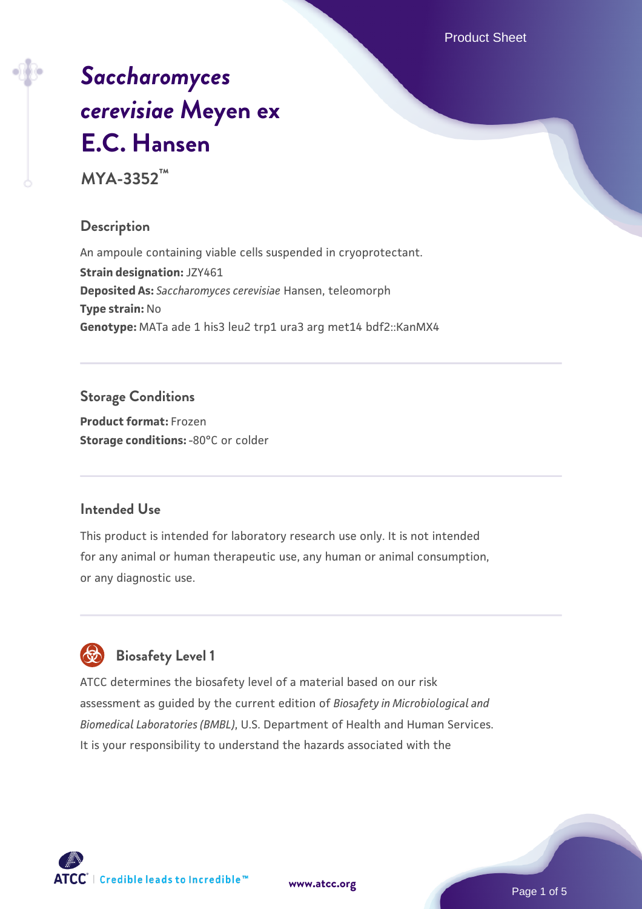Product Sheet

# *[Saccharomyces](https://www.atcc.org/products/mya-3352) [cerevisiae](https://www.atcc.org/products/mya-3352)* **[Meyen ex](https://www.atcc.org/products/mya-3352) [E.C. Hansen](https://www.atcc.org/products/mya-3352)**

**MYA-3352™**

# **Description**

An ampoule containing viable cells suspended in cryoprotectant. **Strain designation:** JZY461 **Deposited As:** *Saccharomyces cerevisiae* Hansen, teleomorph **Type strain:** No **Genotype:** MATa ade 1 his3 leu2 trp1 ura3 arg met14 bdf2::KanMX4

# **Storage Conditions**

**Product format:** Frozen **Storage conditions: -80°C or colder** 

#### **Intended Use**

This product is intended for laboratory research use only. It is not intended for any animal or human therapeutic use, any human or animal consumption, or any diagnostic use.

# **Biosafety Level 1**

ATCC determines the biosafety level of a material based on our risk assessment as guided by the current edition of *Biosafety in Microbiological and Biomedical Laboratories (BMBL)*, U.S. Department of Health and Human Services. It is your responsibility to understand the hazards associated with the

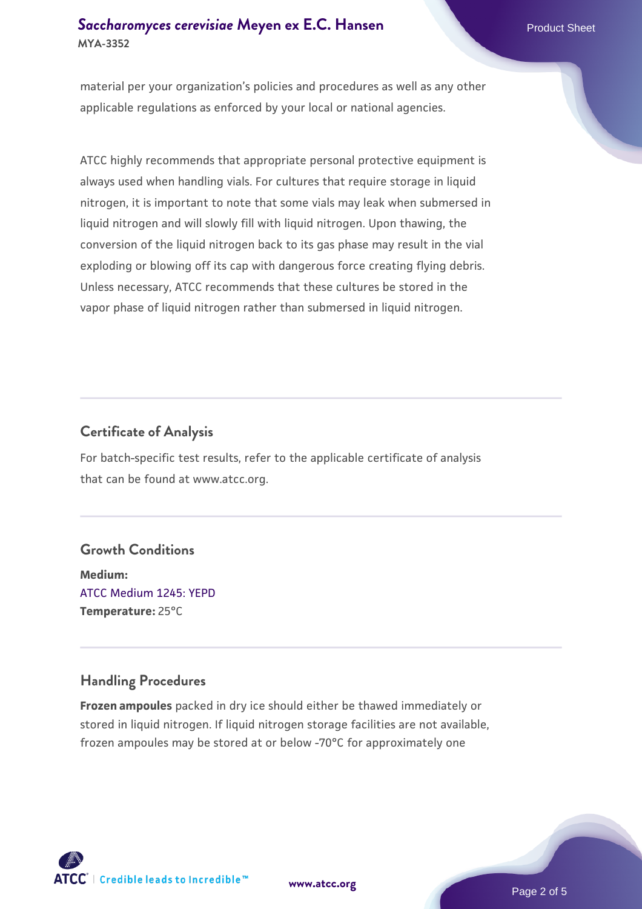## **[Saccharomyces cerevisiae](https://www.atcc.org/products/mya-3352)** [Meyen ex E.C. Hansen](https://www.atcc.org/products/mya-3352) **MYA-3352**

material per your organization's policies and procedures as well as any other applicable regulations as enforced by your local or national agencies.

ATCC highly recommends that appropriate personal protective equipment is always used when handling vials. For cultures that require storage in liquid nitrogen, it is important to note that some vials may leak when submersed in liquid nitrogen and will slowly fill with liquid nitrogen. Upon thawing, the conversion of the liquid nitrogen back to its gas phase may result in the vial exploding or blowing off its cap with dangerous force creating flying debris. Unless necessary, ATCC recommends that these cultures be stored in the vapor phase of liquid nitrogen rather than submersed in liquid nitrogen.

# **Certificate of Analysis**

For batch-specific test results, refer to the applicable certificate of analysis that can be found at www.atcc.org.

#### **Growth Conditions**

**Medium:**  [ATCC Medium 1245: YEPD](https://www.atcc.org/-/media/product-assets/documents/microbial-media-formulations/1/2/4/5/atcc-medium-1245.pdf?rev=705ca55d1b6f490a808a965d5c072196) **Temperature:** 25°C

# **Handling Procedures**

**Frozen ampoules** packed in dry ice should either be thawed immediately or stored in liquid nitrogen. If liquid nitrogen storage facilities are not available, frozen ampoules may be stored at or below -70°C for approximately one





Page 2 of 5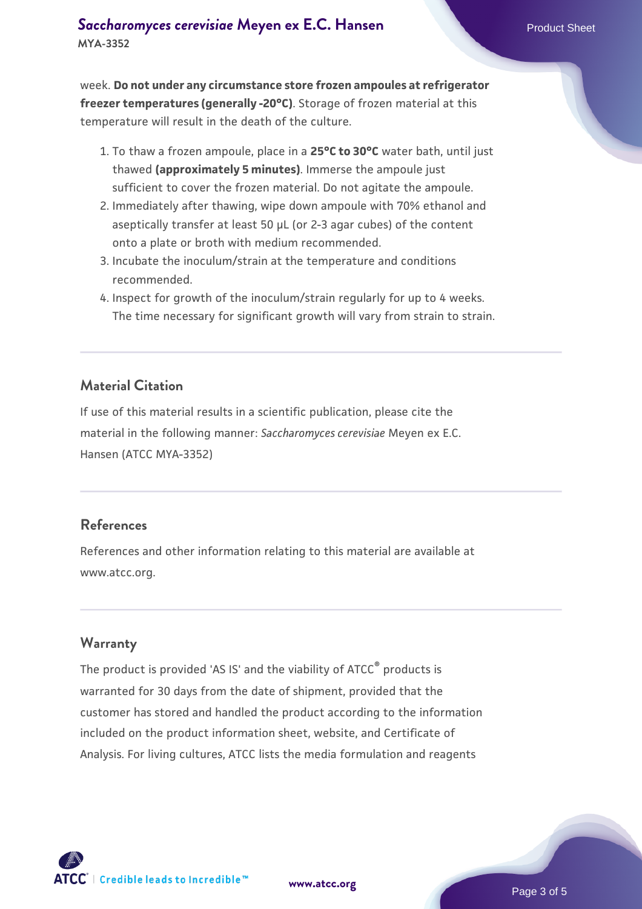week. **Do not under any circumstance store frozen ampoules at refrigerator freezer temperatures (generally -20°C)**. Storage of frozen material at this temperature will result in the death of the culture.

- 1. To thaw a frozen ampoule, place in a **25°C to 30°C** water bath, until just thawed **(approximately 5 minutes)**. Immerse the ampoule just sufficient to cover the frozen material. Do not agitate the ampoule.
- 2. Immediately after thawing, wipe down ampoule with 70% ethanol and aseptically transfer at least 50 µL (or 2-3 agar cubes) of the content onto a plate or broth with medium recommended.
- Incubate the inoculum/strain at the temperature and conditions 3. recommended.
- 4. Inspect for growth of the inoculum/strain regularly for up to 4 weeks. The time necessary for significant growth will vary from strain to strain.

#### **Material Citation**

If use of this material results in a scientific publication, please cite the material in the following manner: *Saccharomyces cerevisiae* Meyen ex E.C. Hansen (ATCC MYA-3352)

#### **References**

References and other information relating to this material are available at www.atcc.org.

#### **Warranty**

The product is provided 'AS IS' and the viability of ATCC® products is warranted for 30 days from the date of shipment, provided that the customer has stored and handled the product according to the information included on the product information sheet, website, and Certificate of Analysis. For living cultures, ATCC lists the media formulation and reagents

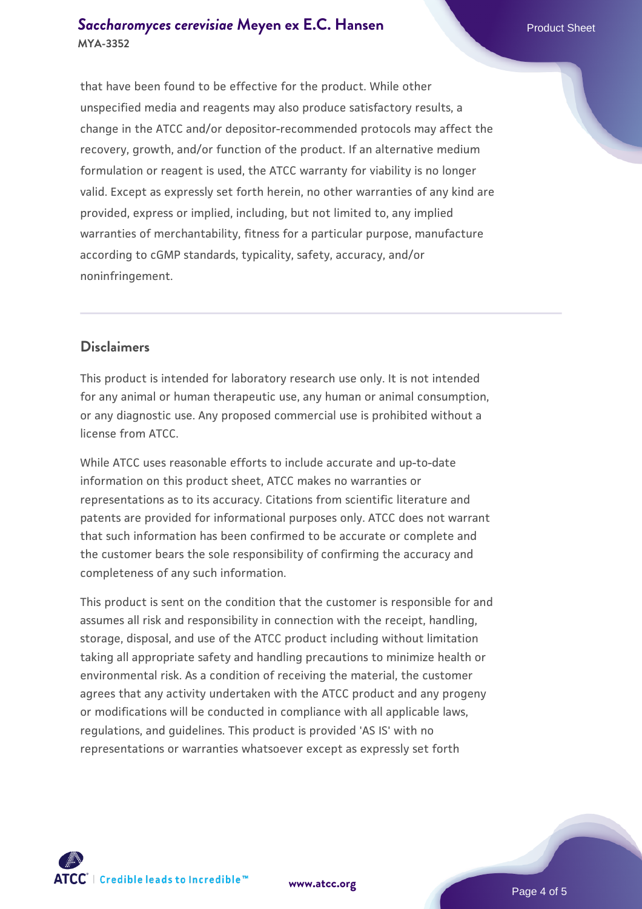#### **[Saccharomyces cerevisiae](https://www.atcc.org/products/mya-3352)** [Meyen ex E.C. Hansen](https://www.atcc.org/products/mya-3352) **MYA-3352**

that have been found to be effective for the product. While other unspecified media and reagents may also produce satisfactory results, a change in the ATCC and/or depositor-recommended protocols may affect the recovery, growth, and/or function of the product. If an alternative medium formulation or reagent is used, the ATCC warranty for viability is no longer valid. Except as expressly set forth herein, no other warranties of any kind are provided, express or implied, including, but not limited to, any implied warranties of merchantability, fitness for a particular purpose, manufacture according to cGMP standards, typicality, safety, accuracy, and/or noninfringement.

# **Disclaimers**

This product is intended for laboratory research use only. It is not intended for any animal or human therapeutic use, any human or animal consumption, or any diagnostic use. Any proposed commercial use is prohibited without a license from ATCC.

While ATCC uses reasonable efforts to include accurate and up-to-date information on this product sheet, ATCC makes no warranties or representations as to its accuracy. Citations from scientific literature and patents are provided for informational purposes only. ATCC does not warrant that such information has been confirmed to be accurate or complete and the customer bears the sole responsibility of confirming the accuracy and completeness of any such information.

This product is sent on the condition that the customer is responsible for and assumes all risk and responsibility in connection with the receipt, handling, storage, disposal, and use of the ATCC product including without limitation taking all appropriate safety and handling precautions to minimize health or environmental risk. As a condition of receiving the material, the customer agrees that any activity undertaken with the ATCC product and any progeny or modifications will be conducted in compliance with all applicable laws, regulations, and guidelines. This product is provided 'AS IS' with no representations or warranties whatsoever except as expressly set forth



**[www.atcc.org](http://www.atcc.org)**

Page 4 of 5